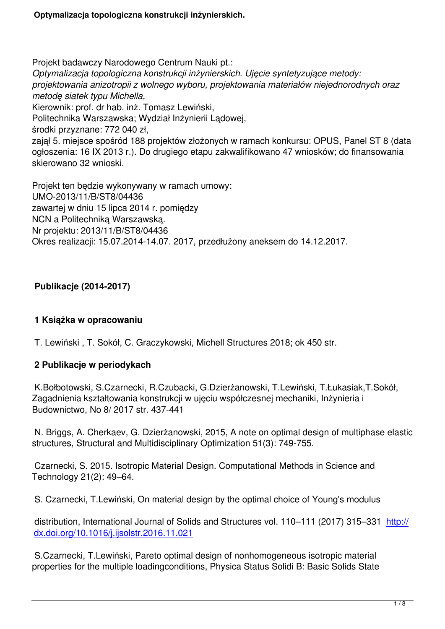Projekt badawczy Narodowego Centrum Nauki pt.: *Optymalizacja topologiczna konstrukcji inżynierskich. Ujęcie syntetyzujące metody: projektowania anizotropii z wolnego wyboru, projektowania materiałów niejednorodnych oraz metodę siatek typu Michella,* Kierownik: prof. dr hab. inż. Tomasz Lewiński, Politechnika Warszawska; Wydział Inżynierii Lądowej, środki przyznane: 772 040 zł, zajął 5. miejsce spośród 188 projektów złożonych w ramach konkursu: OPUS, Panel ST 8 (data ogłoszenia: 16 IX 2013 r.). Do drugiego etapu zakwalifikowano 47 wniosków; do finansowania skierowano 32 wnioski.

Projekt ten będzie wykonywany w ramach umowy: UMO-2013/11/B/ST8/04436 zawartej w dniu 15 lipca 2014 r. pomiędzy NCN a Politechniką Warszawską. Nr projektu: 2013/11/B/ST8/04436 Okres realizacji: 15.07.2014-14.07. 2017, przedłużony aneksem do 14.12.2017.

## **Publikacje (2014-2017)**

### **1 Książka w opracowaniu**

T. Lewiński , T. Sokół, C. Graczykowski, Michell Structures 2018; ok 450 str.

### **2 Publikacje w periodykach**

 K.Bołbotowski, S.Czarnecki, R.Czubacki, G.Dzierżanowski, T.Lewiński, T.Łukasiak,T.Sokół, Zagadnienia kształtowania konstrukcji w ujęciu współczesnej mechaniki, Inżynieria i Budownictwo, No 8/ 2017 str. 437-441

 N. Briggs, A. Cherkaev, G. Dzierżanowski, 2015, A note on optimal design of multiphase elastic structures, Structural and Multidisciplinary Optimization 51(3): 749-755.

 Czarnecki, S. 2015. Isotropic Material Design. Computational Methods in Science and Technology 21(2): 49–64.

S. Czarnecki, T.Lewiński, On material design by the optimal choice of Young's modulus

distribution, International Journal of Solids and Structures vol. 110–111 (2017) 315–331 http:// dx.doi.org/10.1016/j.ijsolstr.2016.11.021

 S.Czarnecki, T.Lewiński, Pareto optimal design of nonhomogeneous isotropic material [properties for the multiple loadingconditio](http://dx.doi.org/10.1016/j.ijsolstr.2016.11.021)ns, Physica Status Solidi B: Basic Solids State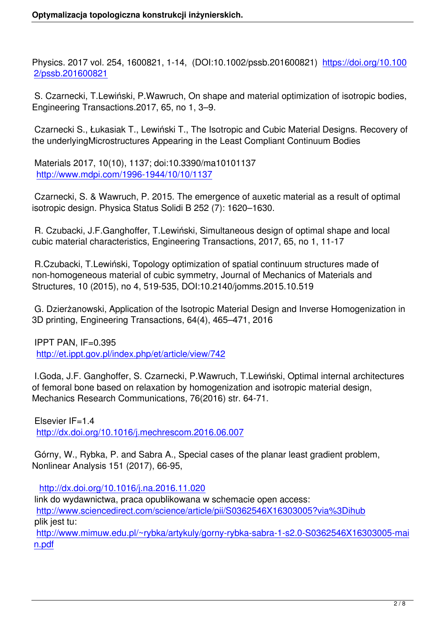Physics. 2017 vol. 254, 1600821, 1-14, (DOI:10.1002/pssb.201600821) https://doi.org/10.100 2/pssb.201600821

 S. Czarnecki, T.Lewiński, P.Wawruch, On shape and material optimizati[on of isotropic bodies,](https://doi.org/10.1002/pssb.201600821) [Engineering Transa](https://doi.org/10.1002/pssb.201600821)ctions.2017, 65, no 1, 3–9.

 Czarnecki S., Łukasiak T., Lewiński T., The Isotropic and Cubic Material Designs. Recovery of the underlyingMicrostructures Appearing in the Least Compliant Continuum Bodies

 Materials 2017, 10(10), 1137; doi:10.3390/ma10101137 http://www.mdpi.com/1996-1944/10/10/1137

 Czarnecki, S. & Wawruch, P. 2015. The emergence of auxetic material as a result of optimal i[sotropic design. Physica Status Solidi B 252 \(](http://www.mdpi.com/1996-1944/10/10/1137)7): 1620–1630.

 R. Czubacki, J.F.Ganghoffer, T.Lewiński, Simultaneous design of optimal shape and local cubic material characteristics, Engineering Transactions, 2017, 65, no 1, 11-17

 R.Czubacki, T.Lewiński, Topology optimization of spatial continuum structures made of non-homogeneous material of cubic symmetry, Journal of Mechanics of Materials and Structures, 10 (2015), no 4, 519-535, DOI:10.2140/jomms.2015.10.519

 G. Dzierżanowski, Application of the Isotropic Material Design and Inverse Homogenization in 3D printing, Engineering Transactions, 64(4), 465–471, 2016

 IPPT PAN, IF=0.395 http://et.ippt.gov.pl/index.php/et/article/view/742

 I.Goda, J.F. Ganghoffer, S. Czarnecki, P.Wawruch, T.Lewiński, Optimal internal architectures [of femoral bone based on relaxation by homogen](http://et.ippt.gov.pl/index.php/et/article/view/742)ization and isotropic material design, Mechanics Research Communications, 76(2016) str. 64-71.

 Elsevier IF=1.4 http://dx.doi.org/10.1016/j.mechrescom.2016.06.007

 Górny, W., Rybka, P. and Sabra A., Special cases of the planar least gradient problem, [Nonlinear Analysis 151 \(2017\), 66-95,](http://dx.doi.org/10.1016/j.mechrescom.2016.06.007)

http://dx.doi.org/10.1016/j.na.2016.11.020

 link do wydawnictwa, praca opublikowana w schemacie open access: http://www.sciencedirect.com/science/article/pii/S0362546X16303005?via%3Dihub p[lik jest tu:](http://dx.doi.org/10.1016/j.na.2016.11.020) http://www.mimuw.edu.pl/~rybka/artykuly/gorny-rybka-sabra-1-s2.0-S0362546X16303005-mai [n.pdf](http://www.sciencedirect.com/science/article/pii/S0362546X16303005?via%3Dihub)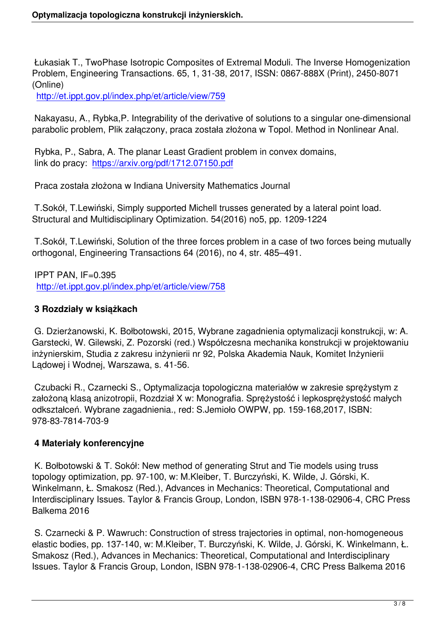Łukasiak T., TwoPhase Isotropic Composites of Extremal Moduli. The Inverse Homogenization Problem, Engineering Transactions. 65, 1, 31-38, 2017, ISSN: 0867-888X (Print), 2450-8071 (Online)

http://et.ippt.gov.pl/index.php/et/article/view/759

 Nakayasu, A., Rybka,P. Integrability of the derivative of solutions to a singular one-dimensional [parabolic problem, Plik załączony, praca została](http://et.ippt.gov.pl/index.php/et/article/view/759) złożona w Topol. Method in Nonlinear Anal.

 Rybka, P., Sabra, A. The planar Least Gradient problem in convex domains, link do pracy: https://arxiv.org/pdf/1712.07150.pdf

Praca została złożona w Indiana University Mathematics Journal

 T.Sokół, T.Le[wiński, Simply supported Michell trus](https://arxiv.org/pdf/1712.07150.pdf)ses generated by a lateral point load. Structural and Multidisciplinary Optimization. 54(2016) no5, pp. 1209-1224

 T.Sokół, T.Lewiński, Solution of the three forces problem in a case of two forces being mutually orthogonal, Engineering Transactions 64 (2016), no 4, str. 485–491.

 IPPT PAN, IF=0.395 http://et.ippt.gov.pl/index.php/et/article/view/758

## **3 Rozdziały w książkach**

 [G. Dzierżanowski, K. Bołbotowski, 2015, Wybran](http://et.ippt.gov.pl/index.php/et/article/view/758)e zagadnienia optymalizacji konstrukcji, w: A. Garstecki, W. Gilewski, Z. Pozorski (red.) Współczesna mechanika konstrukcji w projektowaniu inżynierskim, Studia z zakresu inżynierii nr 92, Polska Akademia Nauk, Komitet Inżynierii Lądowej i Wodnej, Warszawa, s. 41-56.

 Czubacki R., Czarnecki S., Optymalizacja topologiczna materiałów w zakresie sprężystym z założoną klasą anizotropii, Rozdział X w: Monografia. Sprężystość i lepkosprężystość małych odkształceń. Wybrane zagadnienia., red: S.Jemioło OWPW, pp. 159-168,2017, ISBN: 978-83-7814-703-9

# **4 Materiały konferencyjne**

 K. Bołbotowski & T. Sokół: New method of generating Strut and Tie models using truss topology optimization, pp. 97-100, w: M.Kleiber, T. Burczyński, K. Wilde, J. Górski, K. Winkelmann, Ł. Smakosz (Red.), Advances in Mechanics: Theoretical, Computational and Interdisciplinary Issues. Taylor & Francis Group, London, ISBN 978-1-138-02906-4, CRC Press Balkema 2016

 S. Czarnecki & P. Wawruch: Construction of stress trajectories in optimal, non-homogeneous elastic bodies, pp. 137-140, w: M.Kleiber, T. Burczyński, K. Wilde, J. Górski, K. Winkelmann, Ł. Smakosz (Red.), Advances in Mechanics: Theoretical, Computational and Interdisciplinary Issues. Taylor & Francis Group, London, ISBN 978-1-138-02906-4, CRC Press Balkema 2016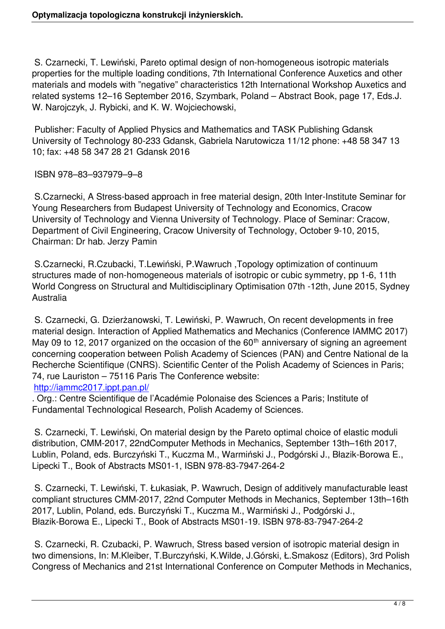S. Czarnecki, T. Lewiński, Pareto optimal design of non-homogeneous isotropic materials properties for the multiple loading conditions, 7th International Conference Auxetics and other materials and models with "negative" characteristics 12th International Workshop Auxetics and related systems 12–16 September 2016, Szymbark, Poland – Abstract Book, page 17, Eds.J. W. Narojczyk, J. Rybicki, and K. W. Wojciechowski,

 Publisher: Faculty of Applied Physics and Mathematics and TASK Publishing Gdansk University of Technology 80-233 Gdansk, Gabriela Narutowicza 11/12 phone: +48 58 347 13 10; fax: +48 58 347 28 21 Gdansk 2016

ISBN 978–83–937979–9–8

 S.Czarnecki, A Stress-based approach in free material design, 20th Inter-Institute Seminar for Young Researchers from Budapest University of Technology and Economics, Cracow University of Technology and Vienna University of Technology. Place of Seminar: Cracow, Department of Civil Engineering, Cracow University of Technology, October 9-10, 2015, Chairman: Dr hab. Jerzy Pamin

 S.Czarnecki, R.Czubacki, T.Lewiński, P.Wawruch ,Topology optimization of continuum structures made of non-homogeneous materials of isotropic or cubic symmetry, pp 1-6, 11th World Congress on Structural and Multidisciplinary Optimisation 07th -12th, June 2015, Sydney Australia

 S. Czarnecki, G. Dzierżanowski, T. Lewiński, P. Wawruch, On recent developments in free material design. Interaction of Applied Mathematics and Mechanics (Conference IAMMC 2017) May 09 to 12, 2017 organized on the occasion of the  $60<sup>th</sup>$  anniversary of signing an agreement concerning cooperation between Polish Academy of Sciences (PAN) and Centre National de la Recherche Scientifique (CNRS). Scientific Center of the Polish Academy of Sciences in Paris; 74, rue Lauriston – 75116 Paris The Conference website:

#### http://iammc2017.ippt.pan.pl/

. Org.: Centre Scientifique de l'Académie Polonaise des Sciences a Paris; Institute of Fundamental Technological Research, Polish Academy of Sciences.

 [S. Czarnecki, T. Lewiński, On](http://iammc2017.ippt.pan.pl/) material design by the Pareto optimal choice of elastic moduli distribution, CMM-2017, 22ndComputer Methods in Mechanics, September 13th–16th 2017, Lublin, Poland, eds. Burczyński T., Kuczma M., Warmiński J., Podgórski J., Błazik-Borowa E., Lipecki T., Book of Abstracts MS01-1, ISBN 978-83-7947-264-2

 S. Czarnecki, T. Lewiński, T. Łukasiak, P. Wawruch, Design of additively manufacturable least compliant structures CMM-2017, 22nd Computer Methods in Mechanics, September 13th–16th 2017, Lublin, Poland, eds. Burczyński T., Kuczma M., Warmiński J., Podgórski J., Błazik-Borowa E., Lipecki T., Book of Abstracts MS01-19. ISBN 978-83-7947-264-2

 S. Czarnecki, R. Czubacki, P. Wawruch, Stress based version of isotropic material design in two dimensions, In: M.Kleiber, T.Burczyński, K.Wilde, J.Górski, Ł.Smakosz (Editors), 3rd Polish Congress of Mechanics and 21st International Conference on Computer Methods in Mechanics,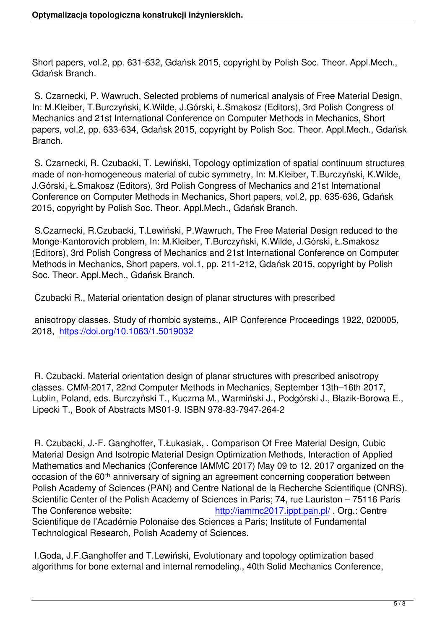Short papers, vol.2, pp. 631-632, Gdańsk 2015, copyright by Polish Soc. Theor. Appl.Mech., Gdańsk Branch.

 S. Czarnecki, P. Wawruch, Selected problems of numerical analysis of Free Material Design, In: M.Kleiber, T.Burczyński, K.Wilde, J.Górski, Ł.Smakosz (Editors), 3rd Polish Congress of Mechanics and 21st International Conference on Computer Methods in Mechanics, Short papers, vol.2, pp. 633-634, Gdańsk 2015, copyright by Polish Soc. Theor. Appl.Mech., Gdańsk Branch.

 S. Czarnecki, R. Czubacki, T. Lewiński, Topology optimization of spatial continuum structures made of non-homogeneous material of cubic symmetry, In: M.Kleiber, T.Burczyński, K.Wilde, J.Górski, Ł.Smakosz (Editors), 3rd Polish Congress of Mechanics and 21st International Conference on Computer Methods in Mechanics, Short papers, vol.2, pp. 635-636, Gdańsk 2015, copyright by Polish Soc. Theor. Appl.Mech., Gdańsk Branch.

 S.Czarnecki, R.Czubacki, T.Lewiński, P.Wawruch, The Free Material Design reduced to the Monge-Kantorovich problem, In: M.Kleiber, T.Burczyński, K.Wilde, J.Górski, Ł.Smakosz (Editors), 3rd Polish Congress of Mechanics and 21st International Conference on Computer Methods in Mechanics, Short papers, vol.1, pp. 211-212, Gdańsk 2015, copyright by Polish Soc. Theor. Appl.Mech., Gdańsk Branch.

Czubacki R., Material orientation design of planar structures with prescribed

 anisotropy classes. Study of rhombic systems., AIP Conference Proceedings 1922, 020005, 2018, https://doi.org/10.1063/1.5019032

 R. Cz[ubacki. Material orientation design](https://doi.org/10.1063/1.5019032) of planar structures with prescribed anisotropy classes. CMM-2017, 22nd Computer Methods in Mechanics, September 13th–16th 2017, Lublin, Poland, eds. Burczyński T., Kuczma M., Warmiński J., Podgórski J., Błazik-Borowa E., Lipecki T., Book of Abstracts MS01-9. ISBN 978-83-7947-264-2

 R. Czubacki, J.-F. Ganghoffer, T.Łukasiak, . Comparison Of Free Material Design, Cubic Material Design And Isotropic Material Design Optimization Methods, Interaction of Applied Mathematics and Mechanics (Conference IAMMC 2017) May 09 to 12, 2017 organized on the occasion of the 60<sup>th</sup> anniversary of signing an agreement concerning cooperation between Polish Academy of Sciences (PAN) and Centre National de la Recherche Scientifique (CNRS). Scientific Center of the Polish Academy of Sciences in Paris; 74, rue Lauriston – 75116 Paris The Conference website: http://iammc2017.ippt.pan.pl/. Org.: Centre Scientifique de l'Académie Polonaise des Sciences a Paris; Institute of Fundamental Technological Research, Polish Academy of Sciences.

 I.Goda, J.F.Ganghoffer and T.Lewiński, Evol[utionary and topology optimiza](http://iammc2017.ippt.pan.pl/)tion based algorithms for bone external and internal remodeling., 40th Solid Mechanics Conference,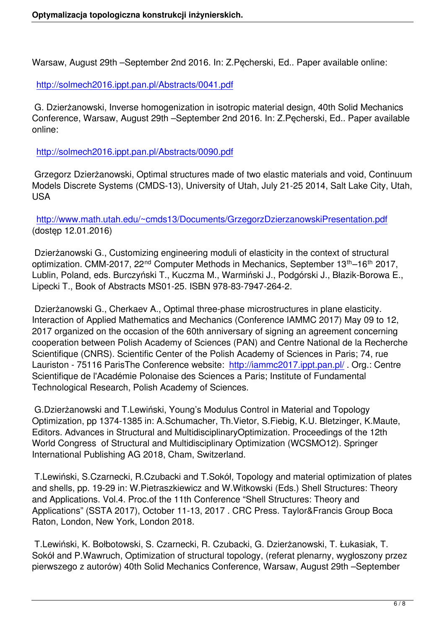Warsaw, August 29th –September 2nd 2016. In: Z.Pęcherski, Ed.. Paper available online:

http://solmech2016.ippt.pan.pl/Abstracts/0041.pdf

 G. Dzierżanowski, Inverse homogenization in isotropic material design, 40th Solid Mechanics [Conference, Warsaw, August 29th –September 2nd](http://solmech2016.ippt.pan.pl/Abstracts/0041.pdf) 2016. In: Z.Pęcherski, Ed.. Paper available online:

http://solmech2016.ippt.pan.pl/Abstracts/0090.pdf

 Grzegorz Dzierżanowski, Optimal structures made of two elastic materials and void, Continuum [Models Discrete Systems \(CMDS-13\), University of](http://solmech2016.ippt.pan.pl/Abstracts/0090.pdf) Utah, July 21-25 2014, Salt Lake City, Utah, USA

http://www.math.utah.edu/~cmds13/Documents/GrzegorzDzierzanowskiPresentation.pdf (dostęp 12.01.2016)

 [Dzierżanowski G., Customizing engineering moduli of elasticity in the context of structural](http://www.math.utah.edu/~cmds13/Documents/GrzegorzDzierzanowskiPresentation.pdf) optimization. CMM-2017, 22<sup>nd</sup> Computer Methods in Mechanics, September 13<sup>th</sup>–16<sup>th</sup> 2017, Lublin, Poland, eds. Burczyński T., Kuczma M., Warmiński J., Podgórski J., Błazik-Borowa E., Lipecki T., Book of Abstracts MS01-25. ISBN 978-83-7947-264-2.

 Dzierżanowski G., Cherkaev A., Optimal three-phase microstructures in plane elasticity. Interaction of Applied Mathematics and Mechanics (Conference IAMMC 2017) May 09 to 12, 2017 organized on the occasion of the 60th anniversary of signing an agreement concerning cooperation between Polish Academy of Sciences (PAN) and Centre National de la Recherche Scientifique (CNRS). Scientific Center of the Polish Academy of Sciences in Paris; 74, rue Lauriston - 75116 ParisThe Conference website: http://iammc2017.jppt.pan.pl/. Org.: Centre Scientifique de l'Académie Polonaise des Sciences a Paris; Institute of Fundamental Technological Research, Polish Academy of Sciences.

 G.Dzierżanowski and T.Lewiński, Young's Modul[us Control in Material and Top](http://iammc2017.ippt.pan.pl/)ology Optimization, pp 1374-1385 in: A.Schumacher, Th.Vietor, S.Fiebig, K.U. Bletzinger, K.Maute, Editors. Advances in Structural and MultidisciplinaryOptimization. Proceedings of the 12th World Congress of Structural and Multidisciplinary Optimization (WCSMO12). Springer International Publishing AG 2018, Cham, Switzerland.

 T.Lewiński, S.Czarnecki, R.Czubacki and T.Sokół, Topology and material optimization of plates and shells, pp. 19-29 in: W.Pietraszkiewicz and W.Witkowski (Eds.) Shell Structures: Theory and Applications. Vol.4. Proc.of the 11th Conference "Shell Structures: Theory and Applications" (SSTA 2017), October 11-13, 2017 . CRC Press. Taylor&Francis Group Boca Raton, London, New York, London 2018.

 T.Lewiński, K. Bołbotowski, S. Czarnecki, R. Czubacki, G. Dzierżanowski, T. Łukasiak, T. Sokół and P.Wawruch, Optimization of structural topology, (referat plenarny, wygłoszony przez pierwszego z autorów) 40th Solid Mechanics Conference, Warsaw, August 29th –September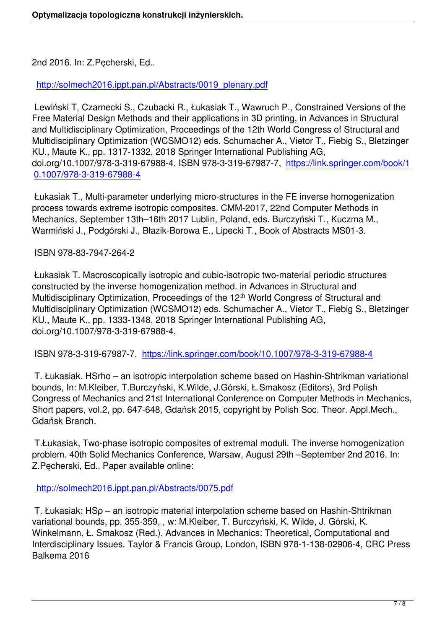2nd 2016. In: Z.Pęcherski, Ed..

http://solmech2016.ippt.pan.pl/Abstracts/0019\_plenary.pdf

 Lewiński T, Czarnecki S., Czubacki R., Łukasiak T., Wawruch P., Constrained Versions of the [Free Material Design Methods and their applications in 3D p](http://solmech2016.ippt.pan.pl/Abstracts/0019_plenary.pdf)rinting, in Advances in Structural and Multidisciplinary Optimization, Proceedings of the 12th World Congress of Structural and Multidisciplinary Optimization (WCSMO12) eds. Schumacher A., Vietor T., Fiebig S., Bletzinger KU., Maute K., pp. 1317-1332, 2018 Springer International Publishing AG, doi.org/10.1007/978-3-319-67988-4, ISBN 978-3-319-67987-7, https://link.springer.com/book/1 0.1007/978-3-319-67988-4

 Łukasiak T., Multi-parameter underlying micro-structures in the [FE inverse homogenization](https://link.springer.com/book/10.1007/978-3-319-67988-4) [process towards extreme is](https://link.springer.com/book/10.1007/978-3-319-67988-4)otropic composites. CMM-2017, 22nd Computer Methods in Mechanics, September 13th–16th 2017 Lublin, Poland, eds. Burczyński T., Kuczma M., Warmiński J., Podgórski J., Błazik-Borowa E., Lipecki T., Book of Abstracts MS01-3.

ISBN 978-83-7947-264-2

 Łukasiak T. Macroscopically isotropic and cubic-isotropic two-material periodic structures constructed by the inverse homogenization method. in Advances in Structural and Multidisciplinary Optimization, Proceedings of the 12<sup>th</sup> World Congress of Structural and Multidisciplinary Optimization (WCSMO12) eds. Schumacher A., Vietor T., Fiebig S., Bletzinger KU., Maute K., pp. 1333-1348, 2018 Springer International Publishing AG, doi.org/10.1007/978-3-319-67988-4,

ISBN 978-3-319-67987-7, https://link.springer.com/book/10.1007/978-3-319-67988-4

 T. Łukasiak. HSrho – an isotropic interpolation scheme based on Hashin-Shtrikman variational bounds, In: M.Kleiber, T.Bu[rczyński, K.Wilde, J.Górski, Ł.Smakosz \(Editors\), 3rd Polish](https://link.springer.com/book/10.1007/978-3-319-67988-4) Congress of Mechanics and 21st International Conference on Computer Methods in Mechanics, Short papers, vol.2, pp. 647-648, Gdańsk 2015, copyright by Polish Soc. Theor. Appl.Mech., Gdańsk Branch.

 T.Łukasiak, Two-phase isotropic composites of extremal moduli. The inverse homogenization problem. 40th Solid Mechanics Conference, Warsaw, August 29th –September 2nd 2016. In: Z.Pęcherski, Ed.. Paper available online:

http://solmech2016.ippt.pan.pl/Abstracts/0075.pdf

 T. Łukasiak: HSρ – an isotropic material interpolation scheme based on Hashin-Shtrikman v[ariational bounds, pp. 355-359, , w: M.Kleiber, T. B](http://solmech2016.ippt.pan.pl/Abstracts/0075.pdf)urczyński, K. Wilde, J. Górski, K. Winkelmann, Ł. Smakosz (Red.), Advances in Mechanics: Theoretical, Computational and Interdisciplinary Issues. Taylor & Francis Group, London, ISBN 978-1-138-02906-4, CRC Press Balkema 2016